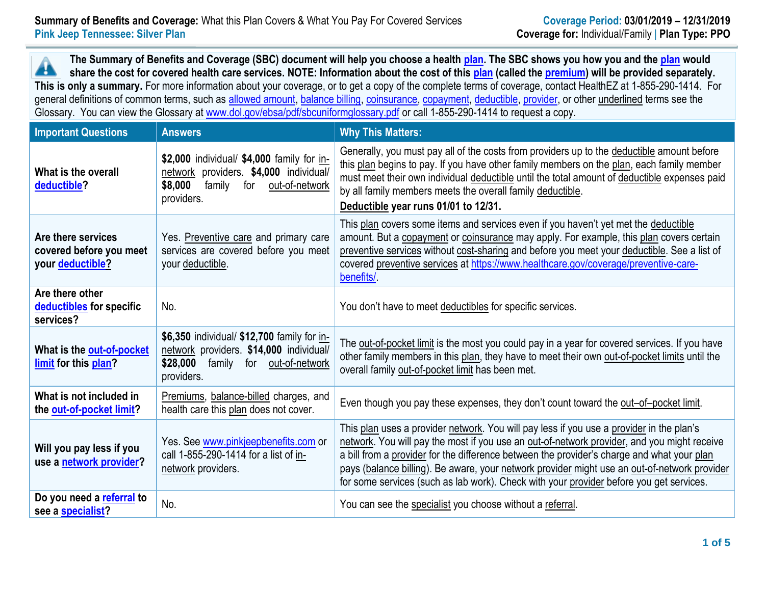**The Summary of Benefits and Coverage (SBC) document will help you choose a health [plan.](https://www.healthcare.gov/sbc-glossary/#plan) The SBC shows you how you and th[e plan](https://www.healthcare.gov/sbc-glossary/#plan) would** Â **share the cost for covered health care services. NOTE: Information about the cost of this [plan](https://www.healthcare.gov/sbc-glossary/#plan) (called the [premium\)](https://www.healthcare.gov/sbc-glossary/#premium) will be provided separately. This is only a summary.** For more information about your coverage, or to get a copy of the complete terms of coverage, contact HealthEZ at 1-855-290-1414. For general definitions of common terms, such as [allowed amount,](https://www.healthcare.gov/sbc-glossary/#allowed-amount) [balance billing,](https://www.healthcare.gov/sbc-glossary/#balance-billing) [coinsurance,](https://www.healthcare.gov/sbc-glossary/#coinsurance) [copayment,](https://www.healthcare.gov/sbc-glossary/#copayment) [deductible,](https://www.healthcare.gov/sbc-glossary/#deductible) [provider,](https://www.healthcare.gov/sbc-glossary/#provider) or other underlined terms see the Glossary. You can view the Glossary at [www.dol.gov/ebsa/pdf/sbcuniformglossary.pdf](http://www.dol.gov/ebsa/pdf/sbcuniformglossary.pdf) or call 1-855-290-1414 to request a copy.

| <b>Important Questions</b>                                        | <b>Answers</b>                                                                                                                                   | <b>Why This Matters:</b>                                                                                                                                                                                                                                                                                                                                                                                                                                                         |  |  |
|-------------------------------------------------------------------|--------------------------------------------------------------------------------------------------------------------------------------------------|----------------------------------------------------------------------------------------------------------------------------------------------------------------------------------------------------------------------------------------------------------------------------------------------------------------------------------------------------------------------------------------------------------------------------------------------------------------------------------|--|--|
| What is the overall<br>deductible?                                | \$2,000 individual/ \$4,000 family for in-<br>network providers. \$4,000 individual/<br>\$8,000<br>family<br>for<br>out-of-network<br>providers. | Generally, you must pay all of the costs from providers up to the deductible amount before<br>this plan begins to pay. If you have other family members on the plan, each family member<br>must meet their own individual deductible until the total amount of deductible expenses paid<br>by all family members meets the overall family deductible.<br>Deductible year runs 01/01 to 12/31.                                                                                    |  |  |
| Are there services<br>covered before you meet<br>your deductible? | Yes. Preventive care and primary care<br>services are covered before you meet<br>your deductible.                                                | This plan covers some items and services even if you haven't yet met the deductible<br>amount. But a copayment or coinsurance may apply. For example, this plan covers certain<br>preventive services without cost-sharing and before you meet your deductible. See a list of<br>covered preventive services at https://www.healthcare.gov/coverage/preventive-care-<br>benefits/                                                                                                |  |  |
| Are there other<br>deductibles for specific<br>services?          | No.                                                                                                                                              | You don't have to meet deductibles for specific services.                                                                                                                                                                                                                                                                                                                                                                                                                        |  |  |
| What is the out-of-pocket<br>limit for this plan?                 | \$6,350 individual/ \$12,700 family for in-<br>network providers. \$14,000 individual/<br>\$28,000<br>family for out-of-network<br>providers.    | The out-of-pocket limit is the most you could pay in a year for covered services. If you have<br>other family members in this plan, they have to meet their own out-of-pocket limits until the<br>overall family out-of-pocket limit has been met.                                                                                                                                                                                                                               |  |  |
| What is not included in<br>the out-of-pocket limit?               | Premiums, balance-billed charges, and<br>health care this plan does not cover.                                                                   | Even though you pay these expenses, they don't count toward the out-of-pocket limit.                                                                                                                                                                                                                                                                                                                                                                                             |  |  |
| Will you pay less if you<br>use a network provider?               | Yes. See www.pinkjeepbenefits.com or<br>call 1-855-290-1414 for a list of in-<br>network providers.                                              | This plan uses a provider network. You will pay less if you use a provider in the plan's<br>network. You will pay the most if you use an out-of-network provider, and you might receive<br>a bill from a provider for the difference between the provider's charge and what your plan<br>pays (balance billing). Be aware, your network provider might use an out-of-network provider<br>for some services (such as lab work). Check with your provider before you get services. |  |  |
| Do you need a referral to<br>see a specialist?                    | No.                                                                                                                                              | You can see the specialist you choose without a referral.                                                                                                                                                                                                                                                                                                                                                                                                                        |  |  |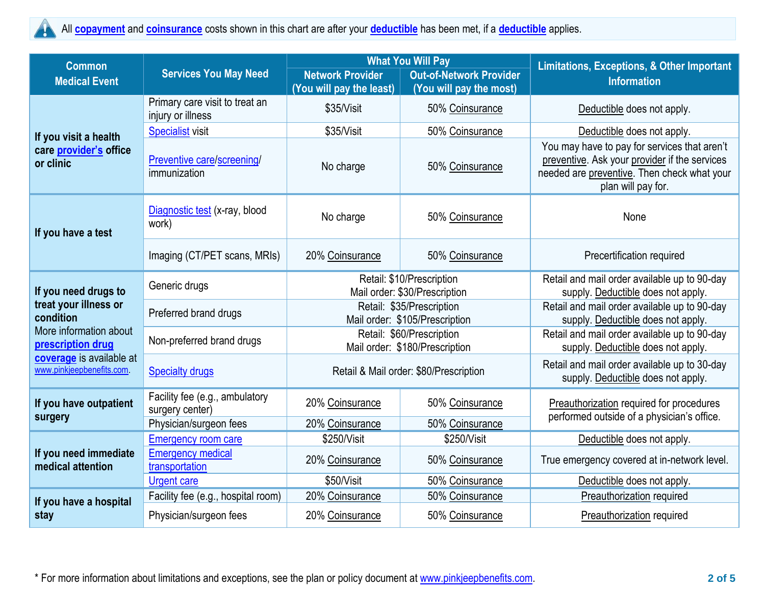## All **[copayment](https://www.healthcare.gov/sbc-glossary/#copayment)** and **[coinsurance](https://www.healthcare.gov/sbc-glossary/#coinsurance)** costs shown in this chart are after your **[deductible](https://www.healthcare.gov/sbc-glossary/#deductible)** has been met, if a **[deductible](https://www.healthcare.gov/sbc-glossary/#deductible)** applies.  $\blacktriangle$

| <b>Common</b>                                                                                                                                                      | <b>Services You May Need</b>                        |                                                             | <b>What You Will Pay</b>       | <b>Limitations, Exceptions, &amp; Other Important</b>                                                                                                              |  |
|--------------------------------------------------------------------------------------------------------------------------------------------------------------------|-----------------------------------------------------|-------------------------------------------------------------|--------------------------------|--------------------------------------------------------------------------------------------------------------------------------------------------------------------|--|
| <b>Medical Event</b>                                                                                                                                               |                                                     | <b>Network Provider</b>                                     | <b>Out-of-Network Provider</b> | <b>Information</b>                                                                                                                                                 |  |
|                                                                                                                                                                    |                                                     | (You will pay the least)                                    | (You will pay the most)        |                                                                                                                                                                    |  |
| If you visit a health<br>care provider's office<br>or clinic                                                                                                       | Primary care visit to treat an<br>injury or illness | \$35/Visit                                                  | 50% Coinsurance                | Deductible does not apply.                                                                                                                                         |  |
|                                                                                                                                                                    | Specialist visit                                    | \$35/Visit<br>50% Coinsurance                               |                                | Deductible does not apply.                                                                                                                                         |  |
|                                                                                                                                                                    | Preventive care/screening/<br>immunization          | No charge                                                   | 50% Coinsurance                | You may have to pay for services that aren't<br>preventive. Ask your provider if the services<br>needed are preventive. Then check what your<br>plan will pay for. |  |
| If you have a test                                                                                                                                                 | Diagnostic test (x-ray, blood<br>work)              | No charge                                                   | 50% Coinsurance                | None                                                                                                                                                               |  |
|                                                                                                                                                                    | Imaging (CT/PET scans, MRIs)                        | 20% Coinsurance                                             | 50% Coinsurance                | Precertification required                                                                                                                                          |  |
| If you need drugs to<br>treat your illness or<br>condition<br>More information about<br>prescription drug<br>coverage is available at<br>www.pinkjeepbenefits.com. | Generic drugs                                       | Retail: \$10/Prescription<br>Mail order: \$30/Prescription  |                                | Retail and mail order available up to 90-day<br>supply. Deductible does not apply.                                                                                 |  |
|                                                                                                                                                                    | Preferred brand drugs                               | Retail: \$35/Prescription<br>Mail order: \$105/Prescription |                                | Retail and mail order available up to 90-day<br>supply. Deductible does not apply.                                                                                 |  |
|                                                                                                                                                                    | Non-preferred brand drugs                           | Retail: \$60/Prescription<br>Mail order: \$180/Prescription |                                | Retail and mail order available up to 90-day<br>supply. Deductible does not apply.                                                                                 |  |
|                                                                                                                                                                    | <b>Specialty drugs</b>                              | Retail & Mail order: \$80/Prescription                      |                                | Retail and mail order available up to 30-day<br>supply. Deductible does not apply.                                                                                 |  |
| If you have outpatient<br>surgery                                                                                                                                  | Facility fee (e.g., ambulatory<br>surgery center)   | 20% Coinsurance                                             | 50% Coinsurance                | Preauthorization required for procedures<br>performed outside of a physician's office.                                                                             |  |
|                                                                                                                                                                    | Physician/surgeon fees                              | 20% Coinsurance                                             | 50% Coinsurance                |                                                                                                                                                                    |  |
| If you need immediate<br>medical attention                                                                                                                         | <b>Emergency room care</b>                          | \$250/Visit                                                 | \$250/Visit                    | Deductible does not apply.                                                                                                                                         |  |
|                                                                                                                                                                    | <b>Emergency medical</b><br>transportation          | 20% Coinsurance                                             | 50% Coinsurance                | True emergency covered at in-network level.                                                                                                                        |  |
|                                                                                                                                                                    | <b>Urgent care</b>                                  | \$50/Visit                                                  | 50% Coinsurance                | Deductible does not apply.                                                                                                                                         |  |
| If you have a hospital<br>stay                                                                                                                                     | Facility fee (e.g., hospital room)                  | 20% Coinsurance                                             | 50% Coinsurance                | Preauthorization required                                                                                                                                          |  |
|                                                                                                                                                                    | Physician/surgeon fees                              | 20% Coinsurance                                             | 50% Coinsurance                | Preauthorization required                                                                                                                                          |  |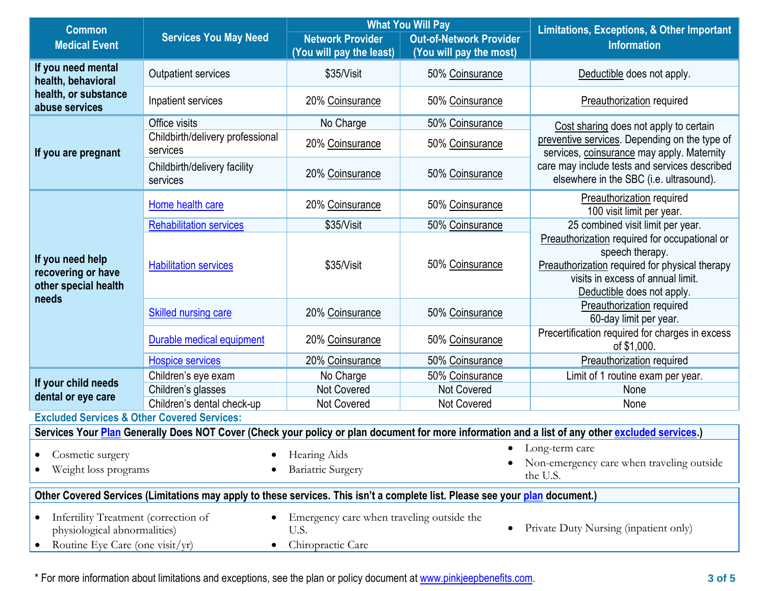| <b>Common</b>                                                                                                                                                                                  | <b>Services You May Need</b>                 | <b>What You Will Pay</b>                                  |                                       | <b>Limitations, Exceptions, &amp; Other Important</b><br><b>Information</b>                                                                                                           |  |
|------------------------------------------------------------------------------------------------------------------------------------------------------------------------------------------------|----------------------------------------------|-----------------------------------------------------------|---------------------------------------|---------------------------------------------------------------------------------------------------------------------------------------------------------------------------------------|--|
| <b>Medical Event</b>                                                                                                                                                                           |                                              | <b>Network Provider</b><br><b>Out-of-Network Provider</b> |                                       |                                                                                                                                                                                       |  |
|                                                                                                                                                                                                |                                              | (You will pay the least)                                  | (You will pay the most)               |                                                                                                                                                                                       |  |
| If you need mental<br>health, behavioral                                                                                                                                                       | Outpatient services                          | \$35/Visit                                                | 50% Coinsurance                       | Deductible does not apply.                                                                                                                                                            |  |
| health, or substance<br>abuse services                                                                                                                                                         | Inpatient services                           | 20% Coinsurance                                           | 50% Coinsurance                       | <b>Preauthorization required</b>                                                                                                                                                      |  |
|                                                                                                                                                                                                | Office visits                                | No Charge                                                 | 50% Coinsurance                       | Cost sharing does not apply to certain                                                                                                                                                |  |
| If you are pregnant                                                                                                                                                                            | Childbirth/delivery professional<br>services | 20% Coinsurance                                           | 50% Coinsurance                       | preventive services. Depending on the type of<br>services, coinsurance may apply. Maternity                                                                                           |  |
|                                                                                                                                                                                                | Childbirth/delivery facility<br>services     | 20% Coinsurance                                           | 50% Coinsurance                       | care may include tests and services described<br>elsewhere in the SBC (i.e. ultrasound).                                                                                              |  |
|                                                                                                                                                                                                | Home health care                             | 20% Coinsurance                                           | 50% Coinsurance                       | <b>Preauthorization required</b><br>100 visit limit per year.                                                                                                                         |  |
|                                                                                                                                                                                                | <b>Rehabilitation services</b>               | \$35/Visit                                                | 50% Coinsurance                       | 25 combined visit limit per year.                                                                                                                                                     |  |
| If you need help<br>recovering or have<br>other special health<br>needs                                                                                                                        | <b>Habilitation services</b>                 | \$35/Visit                                                | 50% Coinsurance                       | Preauthorization required for occupational or<br>speech therapy.<br>Preauthorization required for physical therapy<br>visits in excess of annual limit.<br>Deductible does not apply. |  |
|                                                                                                                                                                                                | <b>Skilled nursing care</b>                  | 20% Coinsurance                                           | 50% Coinsurance                       | Preauthorization required<br>60-day limit per year.                                                                                                                                   |  |
|                                                                                                                                                                                                | Durable medical equipment                    | 20% Coinsurance                                           | 50% Coinsurance                       | Precertification required for charges in excess<br>of \$1,000.                                                                                                                        |  |
|                                                                                                                                                                                                | <b>Hospice services</b>                      | 20% Coinsurance                                           | 50% Coinsurance                       | <b>Preauthorization required</b>                                                                                                                                                      |  |
| If your child needs                                                                                                                                                                            | Children's eye exam                          | No Charge                                                 | 50% Coinsurance                       | Limit of 1 routine exam per year.                                                                                                                                                     |  |
| dental or eye care                                                                                                                                                                             | Children's glasses                           | <b>Not Covered</b>                                        | <b>Not Covered</b>                    | None                                                                                                                                                                                  |  |
|                                                                                                                                                                                                | Children's dental check-up                   | Not Covered                                               | Not Covered                           | None                                                                                                                                                                                  |  |
| <b>Excluded Services &amp; Other Covered Services:</b>                                                                                                                                         |                                              |                                                           |                                       |                                                                                                                                                                                       |  |
|                                                                                                                                                                                                |                                              |                                                           |                                       | Services Your Plan Generally Does NOT Cover (Check your policy or plan document for more information and a list of any other excluded services.)                                      |  |
| Cosmetic surgery                                                                                                                                                                               | ٠                                            | $\bullet$<br>Hearing Aids                                 |                                       | Long-term care                                                                                                                                                                        |  |
| Weight loss programs                                                                                                                                                                           |                                              | <b>Bariatric Surgery</b>                                  |                                       | Non-emergency care when traveling outside<br>the U.S.                                                                                                                                 |  |
| Other Covered Services (Limitations may apply to these services. This isn't a complete list. Please see your plan document.)                                                                   |                                              |                                                           |                                       |                                                                                                                                                                                       |  |
| Infertility Treatment (correction of<br>Emergency care when traveling outside the<br>$\bullet$<br>physiological abnormalities)<br>U.S.<br>Routine Eye Care (one visit/yr)<br>Chiropractic Care |                                              |                                                           | Private Duty Nursing (inpatient only) |                                                                                                                                                                                       |  |

\* For more information about limitations and exceptions, see the plan or policy document at [www.pinkjeepbenefits.com.](http://www.pinkjeepbenefits.com/) **3 of 5**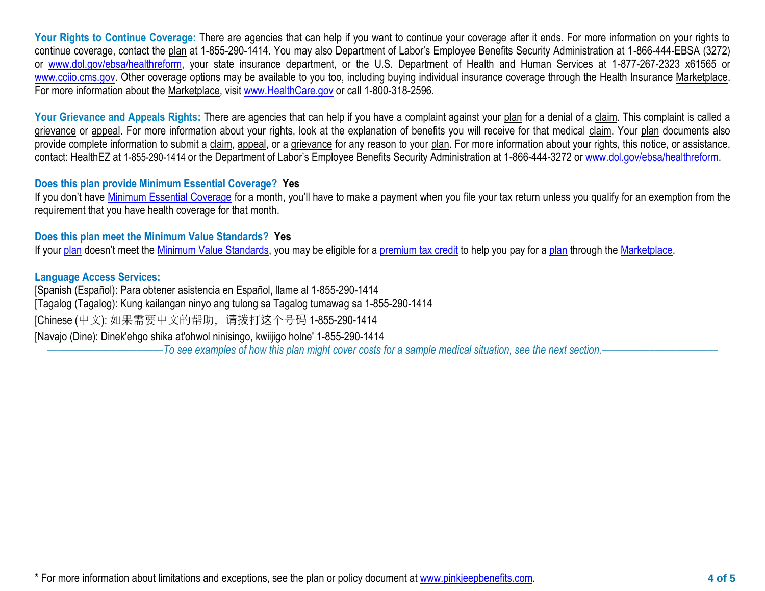Your Rights to Continue Coverage: There are agencies that can help if you want to continue your coverage after it ends. For more information on your rights to continue coverage, contact the plan at 1-855-290-1414. You may also Department of Labor's Employee Benefits Security Administration at 1-866-444-EBSA (3272) or [www.dol.gov/ebsa/healthreform,](http://www.dol.gov/ebsa/healthreform) your state insurance department, or the U.S. Department of Health and Human Services at 1-877-267-2323 x61565 or [www.cciio.cms.gov.](http://www.cciio.cms.gov/) Other coverage options may be available to you too, including buying individual insurance coverage through the Health Insurance Marketplace. For more information about the Marketplace, visit [www.HealthCare.gov](http://www.healthcare.gov/) or call 1-800-318-2596.

Your Grievance and Appeals Rights: There are agencies that can help if you have a complaint against your plan for a denial of a claim. This complaint is called a grievance or appeal. For more information about your rights, look at the explanation of benefits you will receive for that medical claim. Your plan documents also provide complete information to submit a claim, appeal, or a grievance for any reason to your plan. For more information about your rights, this notice, or assistance, contact: HealthEZ at 1-855-290-1414 or the Department of Labor's Employee Benefits Security Administration at 1-866-444-3272 or [www.dol.gov/ebsa/healthreform.](http://www.dol.gov/ebsa/healthreform)

## **Does this plan provide Minimum Essential Coverage? Yes**

If you don't have [Minimum Essential Coverage](https://www.healthcare.gov/sbc-glossary/#minimum-essential-coverage) for a month, you'll have to make a payment when you file your tax return unless you qualify for an exemption from the requirement that you have health coverage for that month.

## **Does this plan meet the Minimum Value Standards? Yes**

If your [plan](https://www.healthcare.gov/sbc-glossary/#plan) doesn't meet the [Minimum Value Standards,](https://www.healthcare.gov/sbc-glossary/#minimum-value-standard) you may be eligible for a [premium tax credit](https://www.healthcare.gov/sbc-glossary/#premium-tax-credits) to help you pay for a plan through the [Marketplace.](https://www.healthcare.gov/sbc-glossary/#marketplace)

## **Language Access Services:**

[Spanish (Español): Para obtener asistencia en Español, llame al 1-855-290-1414 [Tagalog (Tagalog): Kung kailangan ninyo ang tulong sa Tagalog tumawag sa 1-855-290-1414 [Chinese (中文): 如果需要中文的帮助,请拨打这个号码 1-855-290-1414 [Navajo (Dine): Dinek'ehgo shika at'ohwol ninisingo, kwiijigo holne' 1-855-290-1414

––––––––––––––––––––––*To see examples of how this plan might cover costs for a sample medical situation, see the next section.–––––––––––*–––––––––––